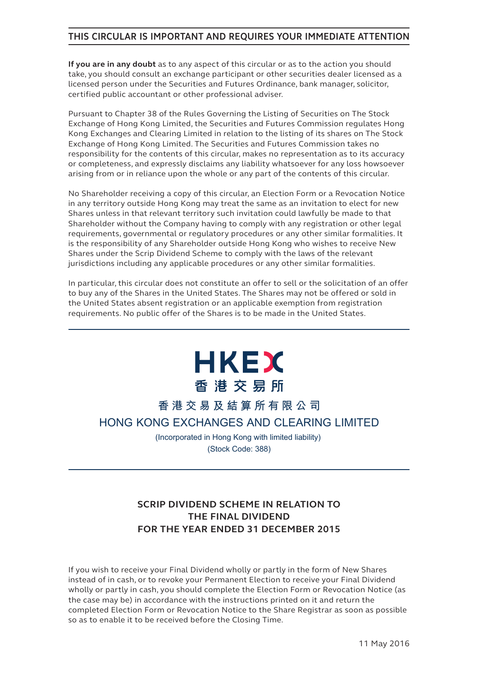# **THIS CIRCULAR IS IMPORTANT AND REQUIRES YOUR IMMEDIATE ATTENTION**

**If you are in any doubt** as to any aspect of this circular or as to the action you should take, you should consult an exchange participant or other securities dealer licensed as a licensed person under the Securities and Futures Ordinance, bank manager, solicitor, certified public accountant or other professional adviser.

Pursuant to Chapter 38 of the Rules Governing the Listing of Securities on The Stock Exchange of Hong Kong Limited, the Securities and Futures Commission regulates Hong Kong Exchanges and Clearing Limited in relation to the listing of its shares on The Stock Exchange of Hong Kong Limited. The Securities and Futures Commission takes no responsibility for the contents of this circular, makes no representation as to its accuracy or completeness, and expressly disclaims any liability whatsoever for any loss howsoever arising from or in reliance upon the whole or any part of the contents of this circular.

No Shareholder receiving a copy of this circular, an Election Form or a Revocation Notice in any territory outside Hong Kong may treat the same as an invitation to elect for new Shares unless in that relevant territory such invitation could lawfully be made to that Shareholder without the Company having to comply with any registration or other legal requirements, governmental or regulatory procedures or any other similar formalities. It is the responsibility of any Shareholder outside Hong Kong who wishes to receive New Shares under the Scrip Dividend Scheme to comply with the laws of the relevant jurisdictions including any applicable procedures or any other similar formalities.

In particular, this circular does not constitute an offer to sell or the solicitation of an offer to buy any of the Shares in the United States. The Shares may not be offered or sold in the United States absent registration or an applicable exemption from registration requirements. No public offer of the Shares is to be made in the United States.



# **香港交易及結算所有限公司**

**HONG KONG EXCHANGES AND CLEARING LIMITED**

(Incorporated in Hong Kong with limited liability) (Stock Code: 388)

# **SCRIP DIVIDEND SCHEME IN RELATION TO THE FINAL DIVIDEND FOR THE YEAR ENDED 31 DECEMBER 2015**

If you wish to receive your Final Dividend wholly or partly in the form of New Shares instead of in cash, or to revoke your Permanent Election to receive your Final Dividend wholly or partly in cash, you should complete the Election Form or Revocation Notice (as the case may be) in accordance with the instructions printed on it and return the completed Election Form or Revocation Notice to the Share Registrar as soon as possible so as to enable it to be received before the Closing Time.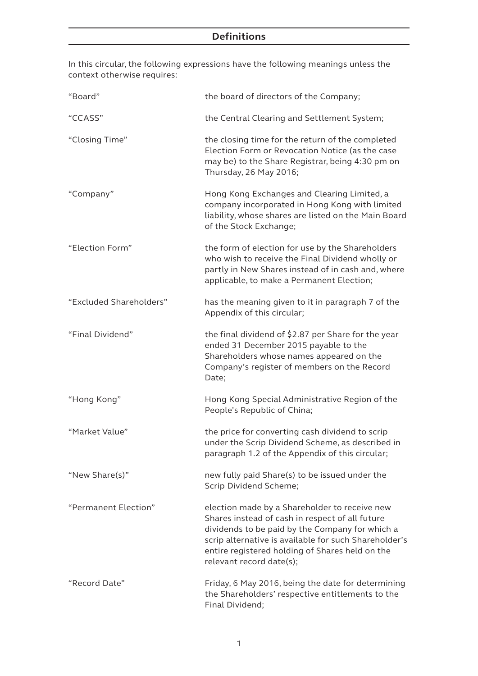# **Definitions**

In this circular, the following expressions have the following meanings unless the context otherwise requires:

| "Board"                 | the board of directors of the Company;                                                                                                                                                                                                                                                      |
|-------------------------|---------------------------------------------------------------------------------------------------------------------------------------------------------------------------------------------------------------------------------------------------------------------------------------------|
| "CCASS"                 | the Central Clearing and Settlement System;                                                                                                                                                                                                                                                 |
| "Closing Time"          | the closing time for the return of the completed<br>Election Form or Revocation Notice (as the case<br>may be) to the Share Registrar, being 4:30 pm on<br>Thursday, 26 May 2016;                                                                                                           |
| "Company"               | Hong Kong Exchanges and Clearing Limited, a<br>company incorporated in Hong Kong with limited<br>liability, whose shares are listed on the Main Board<br>of the Stock Exchange;                                                                                                             |
| "Election Form"         | the form of election for use by the Shareholders<br>who wish to receive the Final Dividend wholly or<br>partly in New Shares instead of in cash and, where<br>applicable, to make a Permanent Election;                                                                                     |
| "Excluded Shareholders" | has the meaning given to it in paragraph 7 of the<br>Appendix of this circular;                                                                                                                                                                                                             |
| "Final Dividend"        | the final dividend of \$2.87 per Share for the year<br>ended 31 December 2015 payable to the<br>Shareholders whose names appeared on the<br>Company's register of members on the Record<br>Date;                                                                                            |
| "Hong Kong"             | Hong Kong Special Administrative Region of the<br>People's Republic of China;                                                                                                                                                                                                               |
| "Market Value"          | the price for converting cash dividend to scrip<br>under the Scrip Dividend Scheme, as described in<br>paragraph 1.2 of the Appendix of this circular;                                                                                                                                      |
| "New Share(s)"          | new fully paid Share(s) to be issued under the<br>Scrip Dividend Scheme;                                                                                                                                                                                                                    |
| "Permanent Election"    | election made by a Shareholder to receive new<br>Shares instead of cash in respect of all future<br>dividends to be paid by the Company for which a<br>scrip alternative is available for such Shareholder's<br>entire registered holding of Shares held on the<br>relevant record date(s); |
| "Record Date"           | Friday, 6 May 2016, being the date for determining<br>the Shareholders' respective entitlements to the<br>Final Dividend;                                                                                                                                                                   |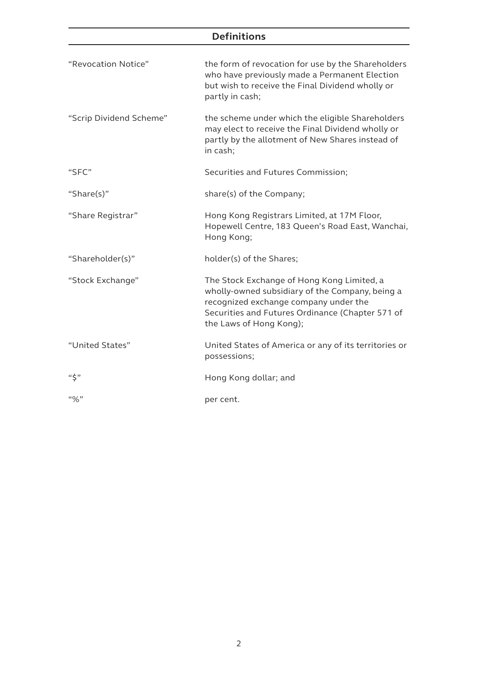# **Definitions**

| "Revocation Notice"     | the form of revocation for use by the Shareholders<br>who have previously made a Permanent Election<br>but wish to receive the Final Dividend wholly or<br>partly in cash;                                            |
|-------------------------|-----------------------------------------------------------------------------------------------------------------------------------------------------------------------------------------------------------------------|
| "Scrip Dividend Scheme" | the scheme under which the eligible Shareholders<br>may elect to receive the Final Dividend wholly or<br>partly by the allotment of New Shares instead of<br>in cash;                                                 |
| "SFC"                   | Securities and Futures Commission;                                                                                                                                                                                    |
| "Share(s)"              | share(s) of the Company;                                                                                                                                                                                              |
| "Share Registrar"       | Hong Kong Registrars Limited, at 17M Floor,<br>Hopewell Centre, 183 Queen's Road East, Wanchai,<br>Hong Kong;                                                                                                         |
| "Shareholder(s)"        | holder(s) of the Shares;                                                                                                                                                                                              |
| "Stock Exchange"        | The Stock Exchange of Hong Kong Limited, a<br>wholly-owned subsidiary of the Company, being a<br>recognized exchange company under the<br>Securities and Futures Ordinance (Chapter 571 of<br>the Laws of Hong Kong); |
| "United States"         | United States of America or any of its territories or<br>possessions;                                                                                                                                                 |
| $``\zeta"$              | Hong Kong dollar; and                                                                                                                                                                                                 |
| $``\%"$                 | per cent.                                                                                                                                                                                                             |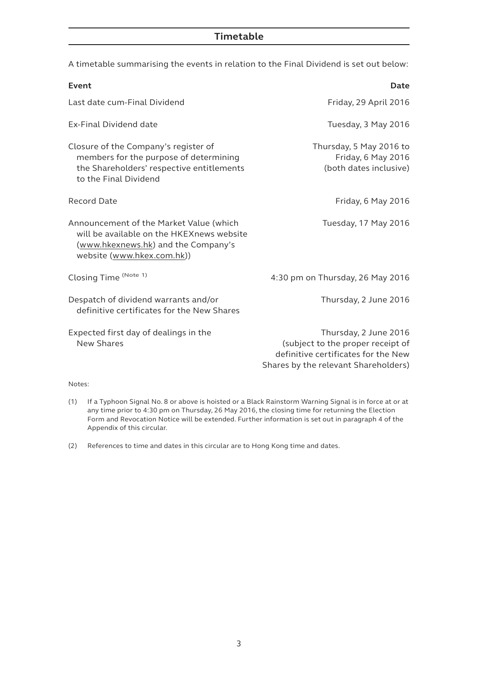# **Timetable**

A timetable summarising the events in relation to the Final Dividend is set out below:

| Event                                                                                                                                                     | Date                                                                                                                                      |
|-----------------------------------------------------------------------------------------------------------------------------------------------------------|-------------------------------------------------------------------------------------------------------------------------------------------|
| Last date cum-Final Dividend                                                                                                                              | Friday, 29 April 2016                                                                                                                     |
| Ex-Final Dividend date                                                                                                                                    | Tuesday, 3 May 2016                                                                                                                       |
| Closure of the Company's register of<br>members for the purpose of determining<br>the Shareholders' respective entitlements<br>to the Final Dividend      | Thursday, 5 May 2016 to<br>Friday, 6 May 2016<br>(both dates inclusive)                                                                   |
| Record Date                                                                                                                                               | Friday, 6 May 2016                                                                                                                        |
| Announcement of the Market Value (which<br>will be available on the HKEXnews website<br>(www.hkexnews.hk) and the Company's<br>website (www.hkex.com.hk)) | Tuesday, 17 May 2016                                                                                                                      |
| Closing Time (Note 1)                                                                                                                                     | 4:30 pm on Thursday, 26 May 2016                                                                                                          |
| Despatch of dividend warrants and/or<br>definitive certificates for the New Shares                                                                        | Thursday, 2 June 2016                                                                                                                     |
| Expected first day of dealings in the<br><b>New Shares</b><br>Notes:                                                                                      | Thursday, 2 June 2016<br>(subject to the proper receipt of<br>definitive certificates for the New<br>Shares by the relevant Shareholders) |

- 
- (1) If a Typhoon Signal No. 8 or above is hoisted or a Black Rainstorm Warning Signal is in force at or at any time prior to 4:30 pm on Thursday, 26 May 2016, the closing time for returning the Election Form and Revocation Notice will be extended. Further information is set out in paragraph 4 of the Appendix of this circular.

(2) References to time and dates in this circular are to Hong Kong time and dates.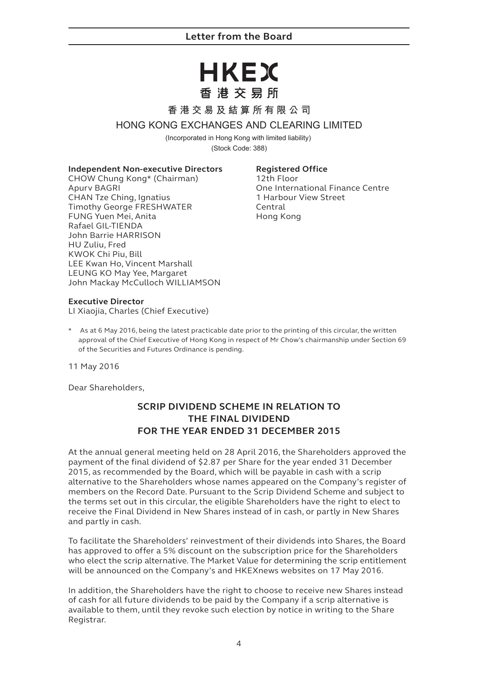# HKEX 香港交易所

# **香港交易及結算所有限公司**

# **HONG KONG EXCHANGES AND CLEARING LIMITED**

(Incorporated in Hong Kong with limited liability) (Stock Code: 388)

#### **Independent Non-executive Directors**

CHOW Chung Kong\* (Chairman) Apurv BAGRI CHAN Tze Ching, Ignatius Timothy George FRESHWATER FUNG Yuen Mei, Anita Rafael GIL-TIENDA John Barrie HARRISON HU Zuliu, Fred KWOK Chi Piu, Bill LEE Kwan Ho, Vincent Marshall LEUNG KO May Yee, Margaret John Mackay McCulloch WILLIAMSON

# **Registered Office**

12th Floor One International Finance Centre 1 Harbour View Street Central Hong Kong

#### **Executive Director**

LI Xiaojia, Charles (Chief Executive)

\* As at 6 May 2016, being the latest practicable date prior to the printing of this circular, the written approval of the Chief Executive of Hong Kong in respect of Mr Chow's chairmanship under Section 69 of the Securities and Futures Ordinance is pending.

11 May 2016

Dear Shareholders,

# **SCRIP DIVIDEND SCHEME IN RELATION TO THE FINAL DIVIDEND FOR THE YEAR ENDED 31 DECEMBER 2015**

At the annual general meeting held on 28 April 2016, the Shareholders approved the payment of the final dividend of \$2.87 per Share for the year ended 31 December 2015, as recommended by the Board, which will be payable in cash with a scrip alternative to the Shareholders whose names appeared on the Company's register of members on the Record Date. Pursuant to the Scrip Dividend Scheme and subject to the terms set out in this circular, the eligible Shareholders have the right to elect to receive the Final Dividend in New Shares instead of in cash, or partly in New Shares and partly in cash.

To facilitate the Shareholders' reinvestment of their dividends into Shares, the Board has approved to offer a 5% discount on the subscription price for the Shareholders who elect the scrip alternative. The Market Value for determining the scrip entitlement will be announced on the Company's and HKEXnews websites on 17 May 2016.

In addition, the Shareholders have the right to choose to receive new Shares instead of cash for all future dividends to be paid by the Company if a scrip alternative is available to them, until they revoke such election by notice in writing to the Share Registrar.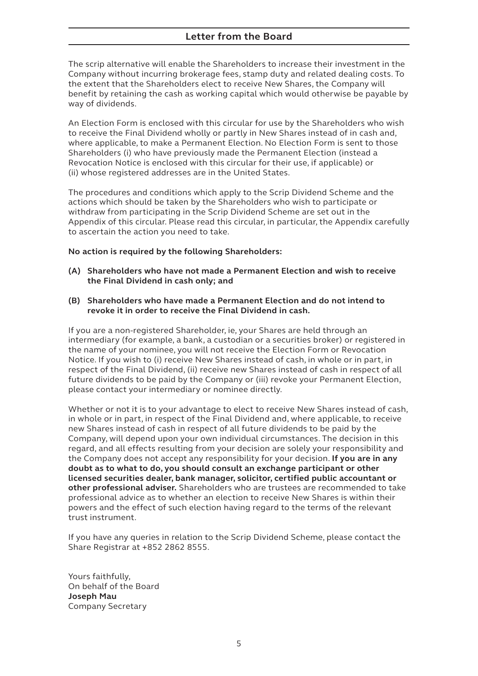# **Letter from the Board**

The scrip alternative will enable the Shareholders to increase their investment in the Company without incurring brokerage fees, stamp duty and related dealing costs. To the extent that the Shareholders elect to receive New Shares, the Company will benefit by retaining the cash as working capital which would otherwise be payable by way of dividends.

An Election Form is enclosed with this circular for use by the Shareholders who wish to receive the Final Dividend wholly or partly in New Shares instead of in cash and, where applicable, to make a Permanent Election. No Election Form is sent to those Shareholders (i) who have previously made the Permanent Election (instead a Revocation Notice is enclosed with this circular for their use, if applicable) or (ii) whose registered addresses are in the United States.

The procedures and conditions which apply to the Scrip Dividend Scheme and the actions which should be taken by the Shareholders who wish to participate or withdraw from participating in the Scrip Dividend Scheme are set out in the Appendix of this circular. Please read this circular, in particular, the Appendix carefully to ascertain the action you need to take.

#### **No action is required by the following Shareholders:**

- **(A) Shareholders who have not made a Permanent Election and wish to receive the Final Dividend in cash only; and**
- **(B) Shareholders who have made a Permanent Election and do not intend to revoke it in order to receive the Final Dividend in cash.**

If you are a non-registered Shareholder, ie, your Shares are held through an intermediary (for example, a bank, a custodian or a securities broker) or registered in the name of your nominee, you will not receive the Election Form or Revocation Notice. If you wish to (i) receive New Shares instead of cash, in whole or in part, in respect of the Final Dividend, (ii) receive new Shares instead of cash in respect of all future dividends to be paid by the Company or (iii) revoke your Permanent Election, please contact your intermediary or nominee directly.

Whether or not it is to your advantage to elect to receive New Shares instead of cash, in whole or in part, in respect of the Final Dividend and, where applicable, to receive new Shares instead of cash in respect of all future dividends to be paid by the Company, will depend upon your own individual circumstances. The decision in this regard, and all effects resulting from your decision are solely your responsibility and the Company does not accept any responsibility for your decision. **If you are in any doubt as to what to do, you should consult an exchange participant or other licensed securities dealer, bank manager, solicitor, certified public accountant or other professional adviser.** Shareholders who are trustees are recommended to take professional advice as to whether an election to receive New Shares is within their powers and the effect of such election having regard to the terms of the relevant trust instrument.

If you have any queries in relation to the Scrip Dividend Scheme, please contact the Share Registrar at +852 2862 8555.

Yours faithfully, On behalf of the Board **Joseph Mau** Company Secretary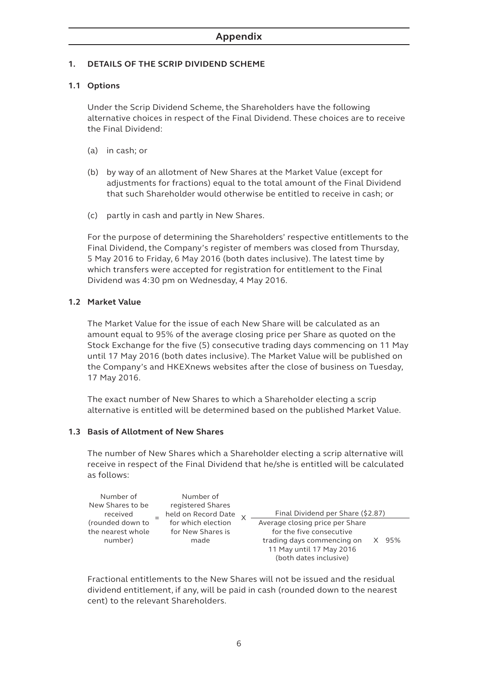# **1. DETAILS OF THE SCRIP DIVIDEND SCHEME**

# **1.1 Options**

Under the Scrip Dividend Scheme, the Shareholders have the following alternative choices in respect of the Final Dividend. These choices are to receive the Final Dividend:

- (a) in cash; or
- (b) by way of an allotment of New Shares at the Market Value (except for adjustments for fractions) equal to the total amount of the Final Dividend that such Shareholder would otherwise be entitled to receive in cash; or
- (c) partly in cash and partly in New Shares.

For the purpose of determining the Shareholders' respective entitlements to the Final Dividend, the Company's register of members was closed from Thursday, 5 May 2016 to Friday, 6 May 2016 (both dates inclusive). The latest time by which transfers were accepted for registration for entitlement to the Final Dividend was 4:30 pm on Wednesday, 4 May 2016.

#### **1.2 Market Value**

The Market Value for the issue of each New Share will be calculated as an amount equal to 95% of the average closing price per Share as quoted on the Stock Exchange for the five (5) consecutive trading days commencing on 11 May until 17 May 2016 (both dates inclusive). The Market Value will be published on the Company's and HKEXnews websites after the close of business on Tuesday, 17 May 2016.

The exact number of New Shares to which a Shareholder electing a scrip alternative is entitled will be determined based on the published Market Value.

#### **1.3 Basis of Allotment of New Shares**

The number of New Shares which a Shareholder electing a scrip alternative will receive in respect of the Final Dividend that he/she is entitled will be calculated as follows:

| Number of<br>New Shares to be<br>received        | Number of<br>registered Shares<br>held on Record Date | Final Dividend per Share (\$2.87)                                                                                                               |     |
|--------------------------------------------------|-------------------------------------------------------|-------------------------------------------------------------------------------------------------------------------------------------------------|-----|
| (rounded down to<br>the nearest whole<br>number) | for which election<br>for New Shares is<br>made       | Average closing price per Share<br>for the five consecutive<br>trading days commencing on<br>11 May until 17 May 2016<br>(both dates inclusive) | 95% |

Fractional entitlements to the New Shares will not be issued and the residual dividend entitlement, if any, will be paid in cash (rounded down to the nearest cent) to the relevant Shareholders.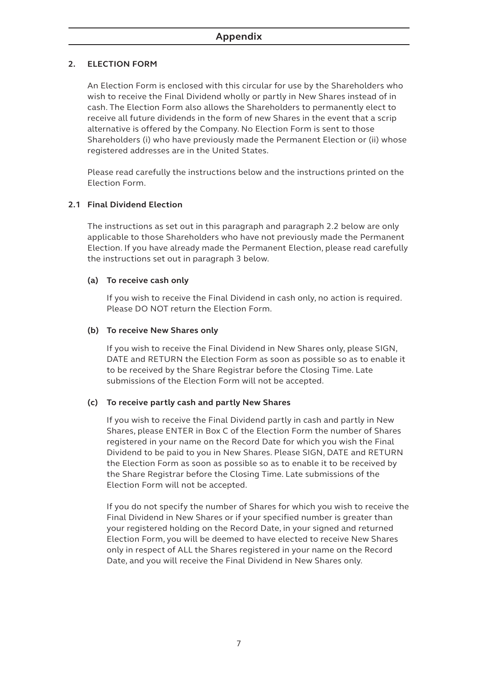# **2. ELECTION FORM**

An Election Form is enclosed with this circular for use by the Shareholders who wish to receive the Final Dividend wholly or partly in New Shares instead of in cash. The Election Form also allows the Shareholders to permanently elect to receive all future dividends in the form of new Shares in the event that a scrip alternative is offered by the Company. No Election Form is sent to those Shareholders (i) who have previously made the Permanent Election or (ii) whose registered addresses are in the United States.

Please read carefully the instructions below and the instructions printed on the Election Form.

# **2.1 Final Dividend Election**

The instructions as set out in this paragraph and paragraph 2.2 below are only applicable to those Shareholders who have not previously made the Permanent Election. If you have already made the Permanent Election, please read carefully the instructions set out in paragraph 3 below.

#### **(a) To receive cash only**

If you wish to receive the Final Dividend in cash only, no action is required. Please DO NOT return the Election Form.

#### **(b) To receive New Shares only**

If you wish to receive the Final Dividend in New Shares only, please SIGN, DATE and RETURN the Election Form as soon as possible so as to enable it to be received by the Share Registrar before the Closing Time. Late submissions of the Election Form will not be accepted.

#### **(c) To receive partly cash and partly New Shares**

If you wish to receive the Final Dividend partly in cash and partly in New Shares, please ENTER in Box C of the Election Form the number of Shares registered in your name on the Record Date for which you wish the Final Dividend to be paid to you in New Shares. Please SIGN, DATE and RETURN the Election Form as soon as possible so as to enable it to be received by the Share Registrar before the Closing Time. Late submissions of the Election Form will not be accepted.

If you do not specify the number of Shares for which you wish to receive the Final Dividend in New Shares or if your specified number is greater than your registered holding on the Record Date, in your signed and returned Election Form, you will be deemed to have elected to receive New Shares only in respect of ALL the Shares registered in your name on the Record Date, and you will receive the Final Dividend in New Shares only.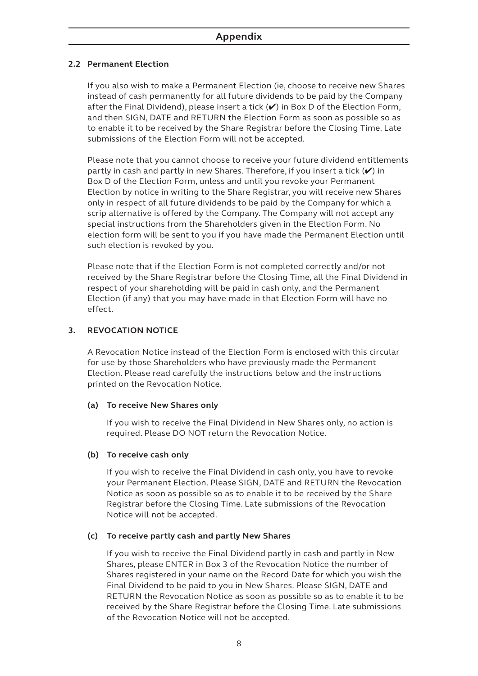# **2.2 Permanent Election**

If you also wish to make a Permanent Election (ie, choose to receive new Shares instead of cash permanently for all future dividends to be paid by the Company after the Final Dividend), please insert a tick  $(V)$  in Box D of the Election Form, and then SIGN, DATE and RETURN the Election Form as soon as possible so as to enable it to be received by the Share Registrar before the Closing Time. Late submissions of the Election Form will not be accepted.

Please note that you cannot choose to receive your future dividend entitlements partly in cash and partly in new Shares. Therefore, if you insert a tick (✔) in Box D of the Election Form, unless and until you revoke your Permanent Election by notice in writing to the Share Registrar, you will receive new Shares only in respect of all future dividends to be paid by the Company for which a scrip alternative is offered by the Company. The Company will not accept any special instructions from the Shareholders given in the Election Form. No election form will be sent to you if you have made the Permanent Election until such election is revoked by you.

Please note that if the Election Form is not completed correctly and/or not received by the Share Registrar before the Closing Time, all the Final Dividend in respect of your shareholding will be paid in cash only, and the Permanent Election (if any) that you may have made in that Election Form will have no effect.

# **3. REVOCATION NOTICE**

A Revocation Notice instead of the Election Form is enclosed with this circular for use by those Shareholders who have previously made the Permanent Election. Please read carefully the instructions below and the instructions printed on the Revocation Notice.

#### **(a) To receive New Shares only**

If you wish to receive the Final Dividend in New Shares only, no action is required. Please DO NOT return the Revocation Notice.

#### **(b) To receive cash only**

If you wish to receive the Final Dividend in cash only, you have to revoke your Permanent Election. Please SIGN, DATE and RETURN the Revocation Notice as soon as possible so as to enable it to be received by the Share Registrar before the Closing Time. Late submissions of the Revocation Notice will not be accepted.

#### **(c) To receive partly cash and partly New Shares**

If you wish to receive the Final Dividend partly in cash and partly in New Shares, please ENTER in Box 3 of the Revocation Notice the number of Shares registered in your name on the Record Date for which you wish the Final Dividend to be paid to you in New Shares. Please SIGN, DATE and RETURN the Revocation Notice as soon as possible so as to enable it to be received by the Share Registrar before the Closing Time. Late submissions of the Revocation Notice will not be accepted.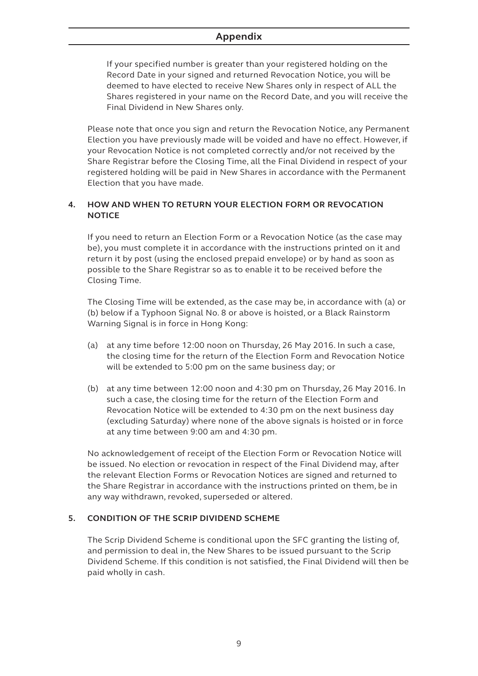# **Appendix**

If your specified number is greater than your registered holding on the Record Date in your signed and returned Revocation Notice, you will be deemed to have elected to receive New Shares only in respect of ALL the Shares registered in your name on the Record Date, and you will receive the Final Dividend in New Shares only.

Please note that once you sign and return the Revocation Notice, any Permanent Election you have previously made will be voided and have no effect. However, if your Revocation Notice is not completed correctly and/or not received by the Share Registrar before the Closing Time, all the Final Dividend in respect of your registered holding will be paid in New Shares in accordance with the Permanent Election that you have made.

# **4. HOW AND WHEN TO RETURN YOUR ELECTION FORM OR REVOCATION NOTICE**

If you need to return an Election Form or a Revocation Notice (as the case may be), you must complete it in accordance with the instructions printed on it and return it by post (using the enclosed prepaid envelope) or by hand as soon as possible to the Share Registrar so as to enable it to be received before the Closing Time.

The Closing Time will be extended, as the case may be, in accordance with (a) or (b) below if a Typhoon Signal No. 8 or above is hoisted, or a Black Rainstorm Warning Signal is in force in Hong Kong:

- (a) at any time before 12:00 noon on Thursday, 26 May 2016. In such a case, the closing time for the return of the Election Form and Revocation Notice will be extended to 5:00 pm on the same business day; or
- (b) at any time between 12:00 noon and 4:30 pm on Thursday, 26 May 2016. In such a case, the closing time for the return of the Election Form and Revocation Notice will be extended to 4:30 pm on the next business day (excluding Saturday) where none of the above signals is hoisted or in force at any time between 9:00 am and 4:30 pm.

No acknowledgement of receipt of the Election Form or Revocation Notice will be issued. No election or revocation in respect of the Final Dividend may, after the relevant Election Forms or Revocation Notices are signed and returned to the Share Registrar in accordance with the instructions printed on them, be in any way withdrawn, revoked, superseded or altered.

#### **5. CONDITION OF THE SCRIP DIVIDEND SCHEME**

The Scrip Dividend Scheme is conditional upon the SFC granting the listing of, and permission to deal in, the New Shares to be issued pursuant to the Scrip Dividend Scheme. If this condition is not satisfied, the Final Dividend will then be paid wholly in cash.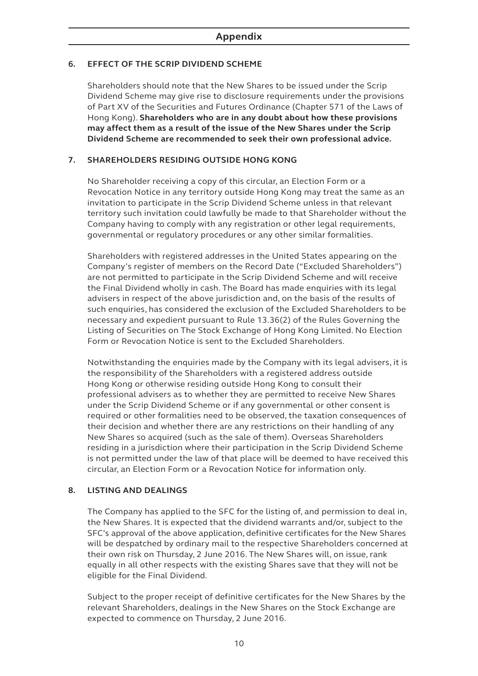# **6. EFFECT OF THE SCRIP DIVIDEND SCHEME**

Shareholders should note that the New Shares to be issued under the Scrip Dividend Scheme may give rise to disclosure requirements under the provisions of Part XV of the Securities and Futures Ordinance (Chapter 571 of the Laws of Hong Kong). **Shareholders who are in any doubt about how these provisions may affect them as a result of the issue of the New Shares under the Scrip Dividend Scheme are recommended to seek their own professional advice.**

# **7. SHAREHOLDERS RESIDING OUTSIDE HONG KONG**

No Shareholder receiving a copy of this circular, an Election Form or a Revocation Notice in any territory outside Hong Kong may treat the same as an invitation to participate in the Scrip Dividend Scheme unless in that relevant territory such invitation could lawfully be made to that Shareholder without the Company having to comply with any registration or other legal requirements, governmental or regulatory procedures or any other similar formalities.

Shareholders with registered addresses in the United States appearing on the Company's register of members on the Record Date ("Excluded Shareholders") are not permitted to participate in the Scrip Dividend Scheme and will receive the Final Dividend wholly in cash. The Board has made enquiries with its legal advisers in respect of the above jurisdiction and, on the basis of the results of such enquiries, has considered the exclusion of the Excluded Shareholders to be necessary and expedient pursuant to Rule 13.36(2) of the Rules Governing the Listing of Securities on The Stock Exchange of Hong Kong Limited. No Election Form or Revocation Notice is sent to the Excluded Shareholders.

Notwithstanding the enquiries made by the Company with its legal advisers, it is the responsibility of the Shareholders with a registered address outside Hong Kong or otherwise residing outside Hong Kong to consult their professional advisers as to whether they are permitted to receive New Shares under the Scrip Dividend Scheme or if any governmental or other consent is required or other formalities need to be observed, the taxation consequences of their decision and whether there are any restrictions on their handling of any New Shares so acquired (such as the sale of them). Overseas Shareholders residing in a jurisdiction where their participation in the Scrip Dividend Scheme is not permitted under the law of that place will be deemed to have received this circular, an Election Form or a Revocation Notice for information only.

#### **8. LISTING AND DEALINGS**

The Company has applied to the SFC for the listing of, and permission to deal in, the New Shares. It is expected that the dividend warrants and/or, subject to the SFC's approval of the above application, definitive certificates for the New Shares will be despatched by ordinary mail to the respective Shareholders concerned at their own risk on Thursday, 2 June 2016. The New Shares will, on issue, rank equally in all other respects with the existing Shares save that they will not be eligible for the Final Dividend.

Subject to the proper receipt of definitive certificates for the New Shares by the relevant Shareholders, dealings in the New Shares on the Stock Exchange are expected to commence on Thursday, 2 June 2016.